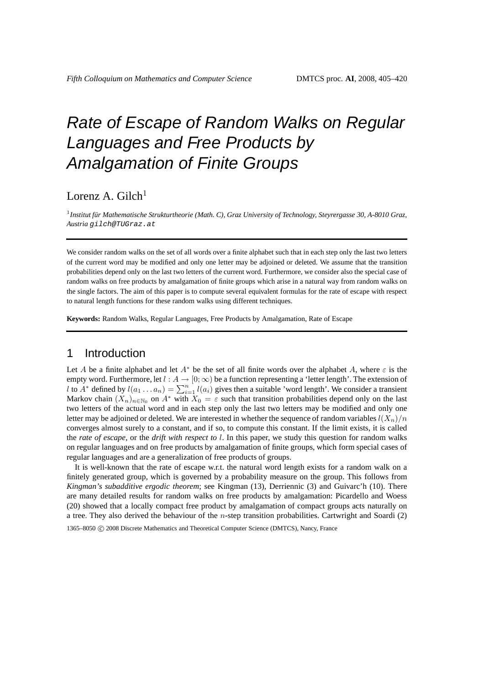# Rate of Escape of Random Walks on Regular Languages and Free Products by Amalgamation of Finite Groups

Lorenz A. Gilch $1$ 

<sup>1</sup> Institut für Mathematische Strukturtheorie (Math. C), Graz University of Technology, Steyrergasse 30, A-8010 Graz, *Austria* gilch@TUGraz.at

We consider random walks on the set of all words over a finite alphabet such that in each step only the last two letters of the current word may be modified and only one letter may be adjoined or deleted. We assume that the transition probabilities depend only on the last two letters of the current word. Furthermore, we consider also the special case of random walks on free products by amalgamation of finite groups which arise in a natural way from random walks on the single factors. The aim of this paper is to compute several equivalent formulas for the rate of escape with respect to natural length functions for these random walks using different techniques.

**Keywords:** Random Walks, Regular Languages, Free Products by Amalgamation, Rate of Escape

# 1 Introduction

Let A be a finite alphabet and let  $A^*$  be the set of all finite words over the alphabet A, where  $\varepsilon$  is the empty word. Furthermore, let  $l : A \to [0; \infty)$  be a function representing a 'letter length'. The extension of l to  $A^*$  defined by  $l(a_1 \ldots a_n) = \sum_{i=1}^n l(a_i)$  gives then a suitable 'word length'. We consider a transient Markov chain  $(X_n)_{n \in \mathbb{N}_0}$  on  $A^*$  with  $X_0 = \varepsilon$  such that transition probabilities depend only on the last two letters of the actual word and in each step only the last two letters may be modified and only one letter may be adjoined or deleted. We are interested in whether the sequence of random variables  $l(X_n)/n$ converges almost surely to a constant, and if so, to compute this constant. If the limit exists, it is called the *rate of escape*, or the *drift with respect to* l. In this paper, we study this question for random walks on regular languages and on free products by amalgamation of finite groups, which form special cases of regular languages and are a generalization of free products of groups.

It is well-known that the rate of escape w.r.t. the natural word length exists for a random walk on a finitely generated group, which is governed by a probability measure on the group. This follows from *Kingman's subadditive ergodic theorem*; see Kingman (13), Derriennic (3) and Guivarc'h (10). There are many detailed results for random walks on free products by amalgamation: Picardello and Woess (20) showed that a locally compact free product by amalgamation of compact groups acts naturally on a tree. They also derived the behaviour of the n-step transition probabilities. Cartwright and Soardi (2) 1365–8050 c 2008 Discrete Mathematics and Theoretical Computer Science (DMTCS), Nancy, France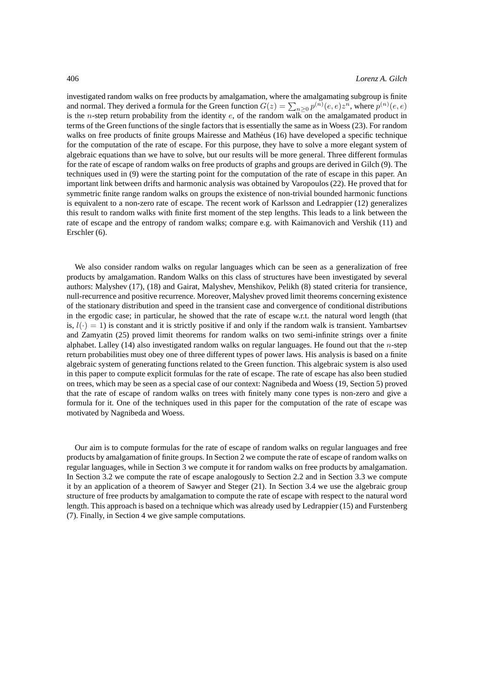investigated random walks on free products by amalgamation, where the amalgamating subgroup is finite and normal. They derived a formula for the Green function  $G(z) = \sum_{n\geq 0} p^{(n)}(e,e)z^n$ , where  $p^{(n)}(e,e)$ is the *n*-step return probability from the identity  $e$ , of the random walk on the amalgamated product in terms of the Green functions of the single factors that is essentially the same as in Woess (23). For random walks on free products of finite groups Mairesse and Mathéus (16) have developed a specific technique for the computation of the rate of escape. For this purpose, they have to solve a more elegant system of algebraic equations than we have to solve, but our results will be more general. Three different formulas for the rate of escape of random walks on free products of graphs and groups are derived in Gilch (9). The techniques used in (9) were the starting point for the computation of the rate of escape in this paper. An important link between drifts and harmonic analysis was obtained by Varopoulos (22). He proved that for symmetric finite range random walks on groups the existence of non-trivial bounded harmonic functions is equivalent to a non-zero rate of escape. The recent work of Karlsson and Ledrappier (12) generalizes this result to random walks with finite first moment of the step lengths. This leads to a link between the rate of escape and the entropy of random walks; compare e.g. with Kaimanovich and Vershik (11) and Erschler (6).

We also consider random walks on regular languages which can be seen as a generalization of free products by amalgamation. Random Walks on this class of structures have been investigated by several authors: Malyshev (17), (18) and Gairat, Malyshev, Menshikov, Pelikh (8) stated criteria for transience, null-recurrence and positive recurrence. Moreover, Malyshev proved limit theorems concerning existence of the stationary distribution and speed in the transient case and convergence of conditional distributions in the ergodic case; in particular, he showed that the rate of escape w.r.t. the natural word length (that is,  $l(\cdot) = 1$ ) is constant and it is strictly positive if and only if the random walk is transient. Yambartsev and Zamyatin (25) proved limit theorems for random walks on two semi-infinite strings over a finite alphabet. Lalley  $(14)$  also investigated random walks on regular languages. He found out that the *n*-step return probabilities must obey one of three different types of power laws. His analysis is based on a finite algebraic system of generating functions related to the Green function. This algebraic system is also used in this paper to compute explicit formulas for the rate of escape. The rate of escape has also been studied on trees, which may be seen as a special case of our context: Nagnibeda and Woess (19, Section 5) proved that the rate of escape of random walks on trees with finitely many cone types is non-zero and give a formula for it. One of the techniques used in this paper for the computation of the rate of escape was motivated by Nagnibeda and Woess.

Our aim is to compute formulas for the rate of escape of random walks on regular languages and free products by amalgamation of finite groups. In Section 2 we compute the rate of escape of random walks on regular languages, while in Section 3 we compute it for random walks on free products by amalgamation. In Section 3.2 we compute the rate of escape analogously to Section 2.2 and in Section 3.3 we compute it by an application of a theorem of Sawyer and Steger (21). In Section 3.4 we use the algebraic group structure of free products by amalgamation to compute the rate of escape with respect to the natural word length. This approach is based on a technique which was already used by Ledrappier (15) and Furstenberg (7). Finally, in Section 4 we give sample computations.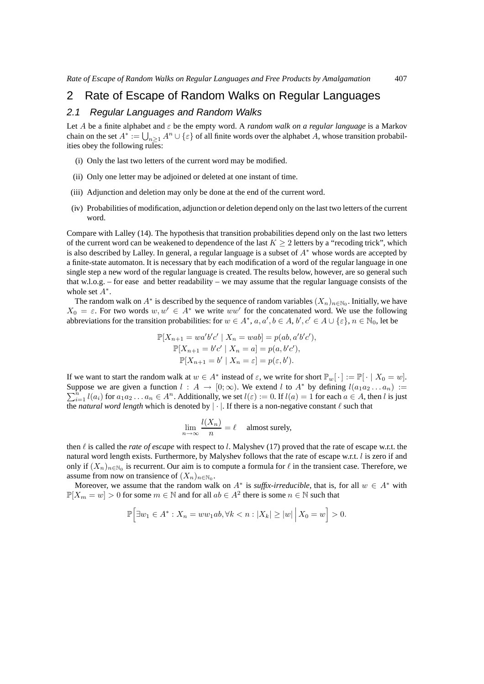# 2 Rate of Escape of Random Walks on Regular Languages

#### 2.1 Regular Languages and Random Walks

Let A be a finite alphabet and  $\varepsilon$  be the empty word. A *random walk on a regular language* is a Markov chain on the set  $A^* := \bigcup_{n \geq 1} A^n \cup \{\varepsilon\}$  of all finite words over the alphabet A, whose transition probabilities obey the following rules:

- (i) Only the last two letters of the current word may be modified.
- (ii) Only one letter may be adjoined or deleted at one instant of time.
- (iii) Adjunction and deletion may only be done at the end of the current word.
- (iv) Probabilities of modification, adjunction or deletion depend only on the last two letters of the current word.

Compare with Lalley (14). The hypothesis that transition probabilities depend only on the last two letters of the current word can be weakened to dependence of the last  $K > 2$  letters by a "recoding trick", which is also described by Lalley. In general, a regular language is a subset of  $A^*$  whose words are accepted by a finite-state automaton. It is necessary that by each modification of a word of the regular language in one single step a new word of the regular language is created. The results below, however, are so general such that w.l.o.g. – for ease and better readability – we may assume that the regular language consists of the whole set  $A^*$ .

The random walk on  $A^*$  is described by the sequence of random variables  $(X_n)_{n \in \mathbb{N}_0}$ . Initially, we have  $X_0 = \varepsilon$ . For two words  $w, w' \in A^*$  we write  $ww'$  for the concatenated word. We use the following abbreviations for the transition probabilities: for  $w \in A^*$ ,  $a, a', b \in A$ ,  $b', c' \in A \cup \{\varepsilon\}$ ,  $n \in \mathbb{N}_0$ , let be

$$
\mathbb{P}[X_{n+1} = wa'b'c' \mid X_n = wab] = p(ab, a'b'c'),
$$
  
\n
$$
\mathbb{P}[X_{n+1} = b'c' \mid X_n = a] = p(a, b'c'),
$$
  
\n
$$
\mathbb{P}[X_{n+1} = b' \mid X_n = \varepsilon] = p(\varepsilon, b').
$$

If we want to start the random walk at  $w \in A^*$  instead of  $\varepsilon$ , we write for short  $\mathbb{P}_w[\cdot] := \mathbb{P}[\cdot | X_0 = w]$ . Suppose we are given a function  $l : A \to [0; \infty)$ . We extend l to  $A^*$  by defining  $l(a_1 a_2 \ldots a_n) :=$  $\sum_{i=1}^{n} l(a_i)$  for  $a_1 a_2 \ldots a_n \in A^n$ . Additionally, we set  $l(\varepsilon) := 0$ . If  $l(a) = 1$  for each  $a \in A$ , then l is just the *natural word length* which is denoted by | · |. If there is a non-negative constant ℓ such that

$$
\lim_{n \to \infty} \frac{l(X_n)}{n} = \ell \quad \text{ almost surely,}
$$

then ℓ is called the *rate of escape* with respect to l. Malyshev (17) proved that the rate of escape w.r.t. the natural word length exists. Furthermore, by Malyshev follows that the rate of escape w.r.t. l is zero if and only if  $(X_n)_{n \in \mathbb{N}_0}$  is recurrent. Our aim is to compute a formula for  $\ell$  in the transient case. Therefore, we assume from now on transience of  $(X_n)_{n \in \mathbb{N}_0}$ .

Moreover, we assume that the random walk on  $A^*$  is *suffix-irreducible*, that is, for all  $w \in A^*$  with  $\mathbb{P}[X_m = w] > 0$  for some  $m \in \mathbb{N}$  and for all  $ab \in A^2$  there is some  $n \in \mathbb{N}$  such that

$$
\mathbb{P}\Big[\exists w_1 \in A^* : X_n = ww_1ab, \forall k < n : |X_k| \ge |w| \Big| X_0 = w \Big] > 0.
$$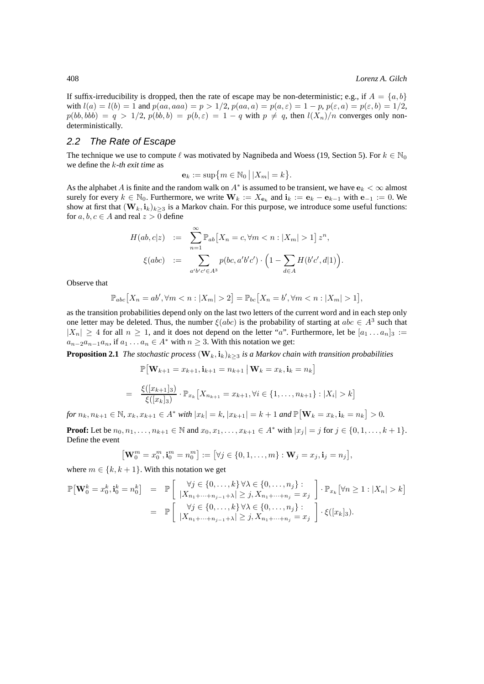If suffix-irreducibility is dropped, then the rate of escape may be non-deterministic; e.g., if  $A = \{a, b\}$ with  $l(a) = l(b) = 1$  and  $p(aa, aaa) = p > 1/2$ ,  $p(aa, a) = p(a, \varepsilon) = 1 - p$ ,  $p(\varepsilon, a) = p(\varepsilon, b) = 1/2$ ,  $p(bb, bbb) = q > 1/2$ ,  $p(bb, b) = p(b, \varepsilon) = 1 - q$  with  $p \neq q$ , then  $l(X_n)/n$  converges only nondeterministically.

### 2.2 The Rate of Escape

The technique we use to compute  $\ell$  was motivated by Nagnibeda and Woess (19, Section 5). For  $k \in \mathbb{N}_0$ we define the k*-th exit time* as

$$
\mathbf{e}_k := \sup\big\{m \in \mathbb{N}_0 \, \big| \, |X_m| = k\big\}.
$$

As the alphabet A is finite and the random walk on  $A^*$  is assumed to be transient, we have  $e_k < \infty$  almost surely for every  $k \in \mathbb{N}_0$ . Furthermore, we write  $\mathbf{W}_k := X_{\mathbf{e}_k}$  and  $\mathbf{i}_k := \mathbf{e}_k - \mathbf{e}_{k-1}$  with  $\mathbf{e}_{-1} := 0$ . We show at first that  $(W_k, i_k)_{k\geq 3}$  is a Markov chain. For this purpose, we introduce some useful functions: for  $a, b, c \in A$  and real  $z > 0$  define

$$
H(ab, c|z) := \sum_{n=1}^{\infty} \mathbb{P}_{ab} \left[ X_n = c, \forall m < n : |X_m| > 1 \right] z^n,
$$
\n
$$
\xi(abc) := \sum_{a'b'c' \in A^3} p(bc, a'b'c') \cdot \left( 1 - \sum_{d \in A} H(b'c', d|1) \right).
$$

Observe that

$$
\mathbb{P}_{abc}[X_n = ab', \forall m < n : |X_m| > 2] = \mathbb{P}_{bc}[X_n = b', \forall m < n : |X_m| > 1],
$$

as the transition probabilities depend only on the last two letters of the current word and in each step only one letter may be deleted. Thus, the number  $\xi(abc)$  is the probability of starting at  $abc \in A^3$  such that  $|X_n| \geq 4$  for all  $n \geq 1$ , and it does not depend on the letter "a". Furthermore, let be  $[a_1 \dots a_n]_3 :=$  $a_{n-2}a_{n-1}a_n$ , if  $a_1 \ldots a_n \in A^*$  with  $n \geq 3$ . With this notation we get:

**Proposition 2.1** *The stochastic process*  $(\mathbf{W}_k, \mathbf{i}_k)_{k\geq 3}$  *is a Markov chain with transition probabilities* 

$$
\mathbb{P}[\mathbf{W}_{k+1} = x_{k+1}, \mathbf{i}_{k+1} = n_{k+1} | \mathbf{W}_k = x_k, \mathbf{i}_k = n_k]
$$
\n
$$
= \frac{\xi([x_{k+1}]_3)}{\xi([x_k]_3)} \cdot \mathbb{P}_{x_k} [X_{n_{k+1}} = x_{k+1}, \forall i \in \{1, \dots, n_{k+1}\} : |X_i| > k]
$$

*for*  $n_k, n_{k+1} \in \mathbb{N}$ ,  $x_k, x_{k+1} \in A^*$  *with*  $|x_k| = k$ ,  $|x_{k+1}| = k + 1$  *and*  $\mathbb{P}[\mathbf{W}_k = x_k, \mathbf{i}_k = n_k] > 0$ .

**Proof:** Let be  $n_0, n_1, \ldots, n_{k+1} \in \mathbb{N}$  and  $x_0, x_1, \ldots, x_{k+1} \in A^*$  with  $|x_j| = j$  for  $j \in \{0, 1, \ldots, k+1\}$ . Define the event

$$
\left[\mathbf{W}_{0}^{m}=x_{0}^{m},\mathbf{i}_{0}^{m}=n_{0}^{m}\right]:=\left[\forall j\in\{0,1,\ldots,m\}: \mathbf{W}_{j}=x_{j},\mathbf{i}_{j}=n_{j}\right],
$$

where  $m \in \{k, k+1\}$ . With this notation we get

$$
\mathbb{P}[\mathbf{W}_0^k = x_0^k, \mathbf{i}_0^k = n_0^k] = \mathbb{P}\left[\begin{array}{c} \forall j \in \{0, \dots, k\} \forall \lambda \in \{0, \dots, n_j\} : \\ |X_{n_1 + \dots + n_{j-1} + \lambda}| \geq j, X_{n_1 + \dots + n_j} = x_j \end{array}\right] \cdot \mathbb{P}_{x_k}[\forall n \geq 1 : |X_n| > k]
$$

$$
= \mathbb{P}\left[\begin{array}{c} \forall j \in \{0, \dots, k\} \forall \lambda \in \{0, \dots, n_j\} : \\ |X_{n_1 + \dots + n_{j-1} + \lambda}| \geq j, X_{n_1 + \dots + n_j} = x_j \end{array}\right] \cdot \xi([x_k]_3).
$$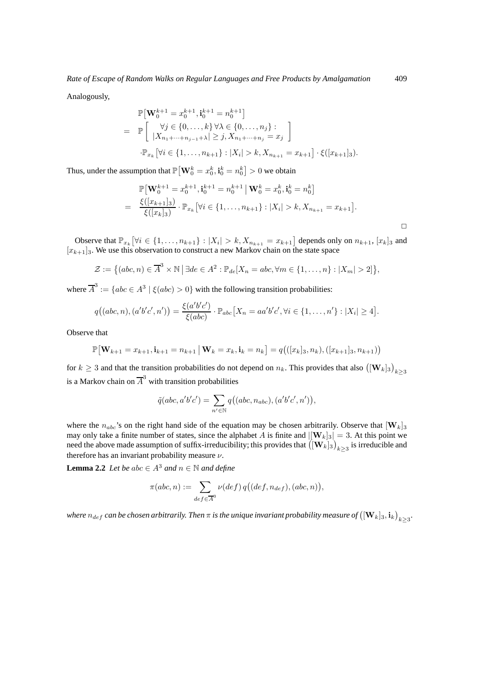Analogously,

$$
\mathbb{P}[\mathbf{W}_{0}^{k+1} = x_{0}^{k+1}, \mathbf{i}_{0}^{k+1} = n_{0}^{k+1}]
$$
\n
$$
= \mathbb{P}\left[\begin{array}{c} \forall j \in \{0, \dots, k\} \forall \lambda \in \{0, \dots, n_{j}\} : \\ |X_{n_{1} + \dots + n_{j-1} + \lambda}| \geq j, X_{n_{1} + \dots + n_{j}} = x_{j} \end{array}\right]
$$
\n
$$
\cdot \mathbb{P}_{x_{k}}\left[\forall i \in \{1, \dots, n_{k+1}\} : |X_{i}| > k, X_{n_{k+1}} = x_{k+1}\right] \cdot \xi([x_{k+1}]_{3}).
$$

Thus, under the assumption that  $\mathbb{P}\big[\mathbf{W}_0^k=x_0^k,\mathbf{i}_0^k=n_0^k\big]>0$  we obtain

$$
\mathbb{P}[\mathbf{W}_{0}^{k+1} = x_{0}^{k+1}, \mathbf{i}_{0}^{k+1} = n_{0}^{k+1} | \mathbf{W}_{0}^{k} = x_{0}^{k}, \mathbf{i}_{0}^{k} = n_{0}^{k}]
$$
\n
$$
= \frac{\xi([x_{k+1}]_{3})}{\xi([x_{k}]_{3})} \cdot \mathbb{P}_{x_{k}}[\forall i \in \{1, \ldots, n_{k+1}\} : |X_{i}| > k, X_{n_{k+1}} = x_{k+1}].
$$

Observe that  $\mathbb{P}_{x_k} \left[ \forall i \in \{1, ..., n_{k+1}\} : |X_i| > k, X_{n_{k+1}} = x_{k+1} \right]$  depends only on  $n_{k+1}$ ,  $[x_k]_3$  and  $[x_{k+1}]_3$ . We use this observation to construct a new Markov chain on the state space

$$
\mathcal{Z} := \left\{ (abc, n) \in \overline{A}^3 \times \mathbb{N} \mid \exists de \in A^2 : \mathbb{P}_{de}[X_n = abc, \forall m \in \{1, ..., n\} : |X_m| > 2] \right\},\
$$

where  $\overline{A}^3 := \{abc \in A^3 \mid \xi(abc) > 0\}$  with the following transition probabilities:

$$
q((abc, n), (a'b'c', n')) = \frac{\xi(a'b'c')}{\xi(abc)} \cdot \mathbb{P}_{abc}[X_n = aa'b'c', \forall i \in \{1, ..., n'\} : |X_i| \geq 4].
$$

Observe that

$$
\mathbb{P}[\mathbf{W}_{k+1} = x_{k+1}, \mathbf{i}_{k+1} = n_{k+1} | \mathbf{W}_k = x_k, \mathbf{i}_k = n_k] = q(([x_k]_3, n_k), ([x_{k+1}]_3, n_{k+1}))
$$

for  $k \ge 3$  and that the transition probabilities do not depend on  $n_k$ . This provides that also  $({\bf [W}_k]_3)_{k \ge 3}$ is a Markov chain on  $\overline{A}^3$  with transition probabilities

$$
\tilde{q}(abc, a'b'c') = \sum_{n' \in \mathbb{N}} q((abc, n_{abc}), (a'b'c', n')),
$$

where the  $n_{abc}$ 's on the right hand side of the equation may be chosen arbitrarily. Observe that  $[\mathbf{W}_k]_3$ may only take a finite number of states, since the alphabet A is finite and  $|[\mathbf{W}_k]_3| = 3$ . At this point we need the above made assumption of suffix-irreducibility; this provides that  $([W_k]_3)_{k\geq 3}$  is irreducible and therefore has an invariant probability measure  $\nu$ .

**Lemma 2.2** *Let be*  $abc \in A^3$  *and*  $n \in \mathbb{N}$  *and define* 

$$
\pi(abc, n) := \sum_{def \in \overline{A}^3} \nu(def) q((def, n_{def}), (abc, n)),
$$

where  $n_{def}$  can be chosen arbitrarily. Then  $\pi$  is the unique invariant probability measure of  $({[{\bf{W}}_k]_3},{\bf{i}}_k)_{k\ge3}$ .

 $\Box$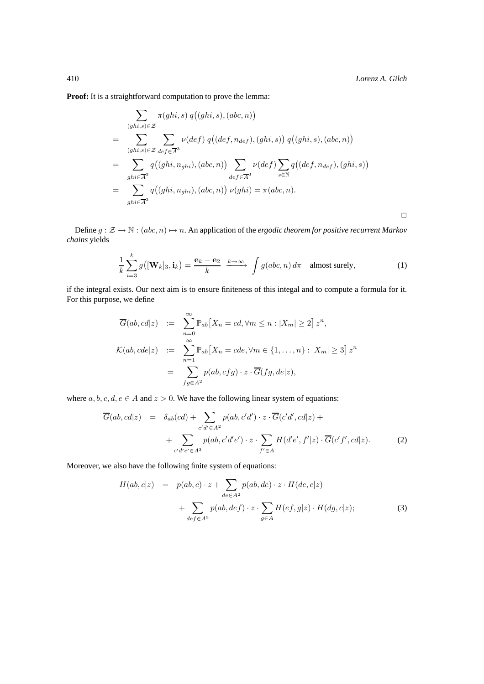**Proof:** It is a straightforward computation to prove the lemma:

$$
\sum_{(ghi,s)\in\mathcal{Z}} \pi(ghi,s) q((ghi,s),(abc,n))
$$
\n
$$
= \sum_{(ghi,s)\in\mathcal{Z}} \sum_{def\in\overline{A}^3} \nu(def) q((def, n_{def}), (ghi,s)) q((ghi,s), (abc,n))
$$
\n
$$
= \sum_{ghi\in\overline{A}^3} q((ghi, n_{ghi}), (abc, n)) \sum_{def\in\overline{A}^3} \nu(def) \sum_{s\in\mathbb{N}} q((def, n_{def}), (ghi,s))
$$
\n
$$
= \sum_{ghi\in\overline{A}^3} q((ghi, n_{ghi}), (abc, n)) \nu(ghi) = \pi(abc, n).
$$

Define  $g : \mathcal{Z} \to \mathbb{N} : (abc, n) \mapsto n$ . An application of the *ergodic theorem for positive recurrent Markov chains* yields

$$
\frac{1}{k}\sum_{i=3}^{k}g\big([\mathbf{W}_{k}]_{3},\mathbf{i}_{k}\big)=\frac{\mathbf{e}_{k}-\mathbf{e}_{2}}{k}\xrightarrow{k\to\infty}\int g(abc,n)\,d\pi\quad\text{almost surely},\tag{1}
$$

if the integral exists. Our next aim is to ensure finiteness of this integal and to compute a formula for it. For this purpose, we define

$$
\overline{G}(ab, cd|z) := \sum_{n=0}^{\infty} \mathbb{P}_{ab} \left[ X_n = cd, \forall m \leq n : |X_m| \geq 2 \right] z^n,
$$
  

$$
\mathcal{K}(ab, cde|z) := \sum_{n=1}^{\infty} \mathbb{P}_{ab} \left[ X_n = cde, \forall m \in \{1, ..., n\} : |X_m| \geq 3 \right] z^n
$$
  

$$
= \sum_{fg \in A^2} p(ab, cfg) \cdot z \cdot \overline{G}(fg, de|z),
$$

where  $a, b, c, d, e \in A$  and  $z > 0$ . We have the following linear system of equations:

$$
\overline{G}(ab, cd|z) = \delta_{ab}(cd) + \sum_{c'd' \in A^2} p(ab, c'd') \cdot z \cdot \overline{G}(c'd', cd|z) + \sum_{c'd'e' \in A^3} p(ab, c'd'e') \cdot z \cdot \sum_{f' \in A} H(d'e', f'|z) \cdot \overline{G}(c'f', cd|z).
$$
\n(2)

Moreover, we also have the following finite system of equations:

$$
H(ab, c|z) = p(ab, c) \cdot z + \sum_{de \in A^2} p(ab, de) \cdot z \cdot H(de, c|z)
$$
  
+ 
$$
\sum_{def \in A^3} p(ab, def) \cdot z \cdot \sum_{g \in A} H(ef, g|z) \cdot H(dg, c|z); \tag{3}
$$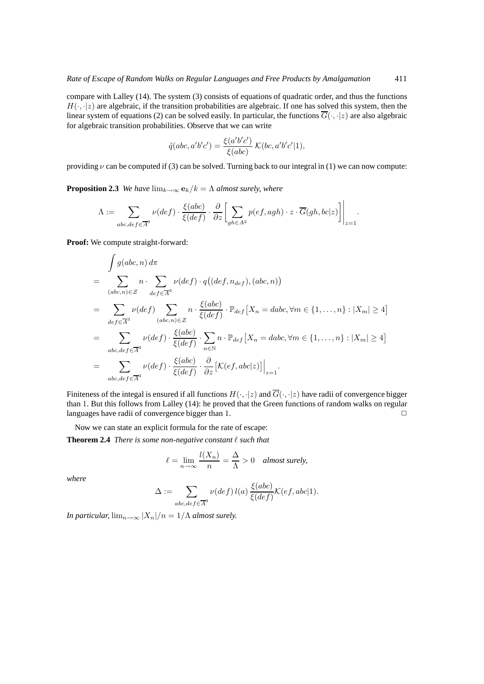compare with Lalley (14). The system (3) consists of equations of quadratic order, and thus the functions  $H(\cdot, \cdot|z)$  are algebraic, if the transition probabilities are algebraic. If one has solved this system, then the linear system of equations (2) can be solved easily. In particular, the functions  $\overline{G}(\cdot, \cdot|z)$  are also algebraic for algebraic transition probabilities. Observe that we can write

$$
\tilde{q}(abc, a'b'c') = \frac{\xi(a'b'c')}{\xi(abc)} \mathcal{K}(bc, a'b'c'|1),
$$

providing  $\nu$  can be computed if (3) can be solved. Turning back to our integral in (1) we can now compute:

**Proposition 2.3** *We have*  $\lim_{k\to\infty} e_k/k = \Lambda$  *almost surely, where* 

$$
\Lambda := \sum_{abc,def \in \overline{A}^3} \nu(def) \cdot \frac{\xi(abc)}{\xi(def)} \cdot \frac{\partial}{\partial z} \bigg[ \sum_{gh \in A^2} p(ef,agh) \cdot z \cdot \overline{G}(gh, bc|z) \bigg] \bigg|_{z=1}.
$$

**Proof:** We compute straight-forward:

$$
\int g(abc, n) d\pi
$$
\n
$$
= \sum_{(abc, n) \in \mathbb{Z}} n \cdot \sum_{def \in \overline{A}^3} \nu(def) \cdot q((def, n_{def}), (abc, n))
$$
\n
$$
= \sum_{def \in \overline{A}^3} \nu(def) \sum_{(abc, n) \in \mathbb{Z}} n \cdot \frac{\xi(abc)}{\xi(def)} \cdot \mathbb{P}_{def} [X_n = dabc, \forall m \in \{1, ..., n\} : |X_m| \ge 4]
$$
\n
$$
= \sum_{abc, def \in \overline{A}^3} \nu(def) \cdot \frac{\xi(abc)}{\xi(def)} \cdot \sum_{n \in \mathbb{N}} n \cdot \mathbb{P}_{def} [X_n = dabc, \forall m \in \{1, ..., n\} : |X_m| \ge 4]
$$
\n
$$
= \sum_{abc, def \in \overline{A}^3} \nu(def) \cdot \frac{\xi(abc)}{\xi(def)} \cdot \frac{\partial}{\partial z} \left[ \mathcal{K}(ef, abc|z) \right] \Big|_{z=1}.
$$

Finiteness of the integal is ensured if all functions  $H(\cdot, \cdot|z)$  and  $\overline{G}(\cdot, \cdot|z)$  have radii of convergence bigger than 1. But this follows from Lalley (14): he proved that the Green functions of random walks on regular languages have radii of convergence bigger than 1.  $\Box$ 

Now we can state an explicit formula for the rate of escape:

**Theorem 2.4** *There is some non-negative constant* ℓ *such that*

$$
\ell = \lim_{n \to \infty} \frac{l(X_n)}{n} = \frac{\Delta}{\Lambda} > 0 \quad \text{almost surely,}
$$

*where*

$$
\Delta := \sum_{abc,def \in \overline{A}^3} \nu(def) l(a) \frac{\xi(abc)}{\xi(def)} \mathcal{K}(ef,abc|1).
$$

*In particular,*  $\lim_{n\to\infty} |X_n|/n = 1/\Lambda$  *almost surely.*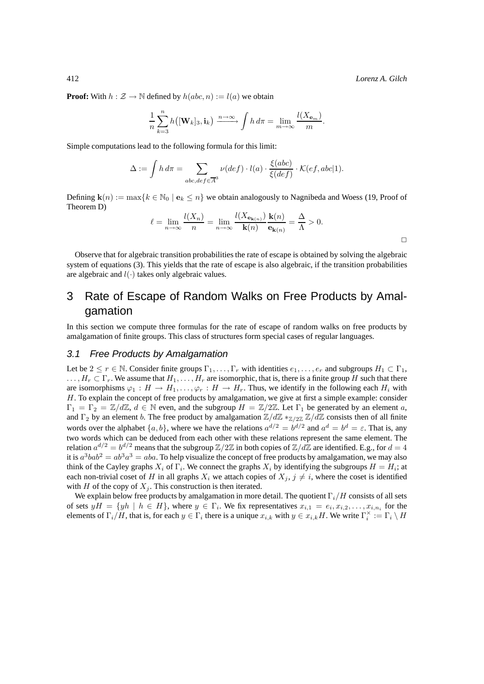412 *Lorenz A. Gilch*

 $\Box$ 

**Proof:** With  $h : \mathcal{Z} \to \mathbb{N}$  defined by  $h(abc, n) := l(a)$  we obtain

$$
\frac{1}{n}\sum_{k=3}^{n} h\big([\mathbf{W}_k]_3, \mathbf{i}_k\big) \xrightarrow{n \to \infty} \int h \, d\pi = \lim_{m \to \infty} \frac{l(X_{\mathbf{e}_m})}{m}.
$$

Simple computations lead to the following formula for this limit:

$$
\Delta := \int h \, d\pi = \sum_{abc,def \in \overline{A}^3} \nu(def) \cdot l(a) \cdot \frac{\xi(abc)}{\xi(def)} \cdot \mathcal{K}(ef,abc|1).
$$

Defining  $\mathbf{k}(n) := \max\{k \in \mathbb{N}_0 \mid \mathbf{e}_k \leq n\}$  we obtain analogously to Nagnibeda and Woess (19, Proof of Theorem D)

$$
\ell = \lim_{n \to \infty} \frac{l(X_n)}{n} = \lim_{n \to \infty} \frac{l(X_{\mathbf{e}_{\mathbf{k}(n)}})}{\mathbf{k}(n)} \frac{\mathbf{k}(n)}{\mathbf{e}_{\mathbf{k}(n)}} = \frac{\Delta}{\Lambda} > 0.
$$

Observe that for algebraic transition probabilities the rate of escape is obtained by solving the algebraic system of equations (3). This yields that the rate of escape is also algebraic, if the transition probabilities are algebraic and  $l(\cdot)$  takes only algebraic values.

# 3 Rate of Escape of Random Walks on Free Products by Amalgamation

In this section we compute three formulas for the rate of escape of random walks on free products by amalgamation of finite groups. This class of structures form special cases of regular languages.

#### 3.1 Free Products by Amalgamation

Let be  $2 \le r \in \mathbb{N}$ . Consider finite groups  $\Gamma_1, \ldots, \Gamma_r$  with identities  $e_1, \ldots, e_r$  and subgroups  $H_1 \subset \Gamma_1$ ,  $\ldots, H_r \subset \Gamma_r$ . We assume that  $H_1, \ldots, H_r$  are isomorphic, that is, there is a finite group H such that there are isomorphisms  $\varphi_1 : H \to H_1, \ldots, \varphi_r : H \to H_r$ . Thus, we identify in the following each  $H_i$  with H. To explain the concept of free products by amalgamation, we give at first a simple example: consider  $\Gamma_1 = \Gamma_2 = \mathbb{Z}/d\mathbb{Z}$ ,  $d \in \mathbb{N}$  even, and the subgroup  $H = \mathbb{Z}/2\mathbb{Z}$ . Let  $\Gamma_1$  be generated by an element a, and  $\Gamma_2$  by an element b. The free product by amalgamation  $\mathbb{Z}/d\mathbb{Z} *_{\mathbb{Z}/2\mathbb{Z}} \mathbb{Z}/d\mathbb{Z}$  consists then of all finite words over the alphabet  $\{a, b\}$ , where we have the relations  $a^{d/2} = b^{d/2}$  and  $a^d = b^d = \varepsilon$ . That is, any two words which can be deduced from each other with these relations represent the same element. The relation  $a^{d/2} = b^{d/2}$  means that the subgroup  $\mathbb{Z}/2\mathbb{Z}$  in both copies of  $\mathbb{Z}/d\mathbb{Z}$  are identified. E.g., for  $d = 4$ it is  $a^3bab^2 = ab^3a^3 = aba$ . To help visualize the concept of free products by amalgamation, we may also think of the Cayley graphs  $X_i$  of  $\Gamma_i$ . We connect the graphs  $X_i$  by identifying the subgroups  $H = H_i$ ; at each non-trivial coset of H in all graphs  $X_i$  we attach copies of  $X_j$ ,  $j \neq i$ , where the coset is identified with H of the copy of  $X_i$ . This construction is then iterated.

We explain below free products by amalgamation in more detail. The quotient  $\Gamma_i/H$  consists of all sets of sets  $yH = \{yh \mid h \in H\}$ , where  $y \in \Gamma_i$ . We fix representatives  $x_{i,1} = e_i, x_{i,2}, \dots, x_{i,n_i}$  for the elements of  $\Gamma_i/H$ , that is, for each  $y \in \Gamma_i$  there is a unique  $x_{i,k}$  with  $y \in x_{i,k}H$ . We write  $\Gamma_i^{\times} := \Gamma_i \setminus H$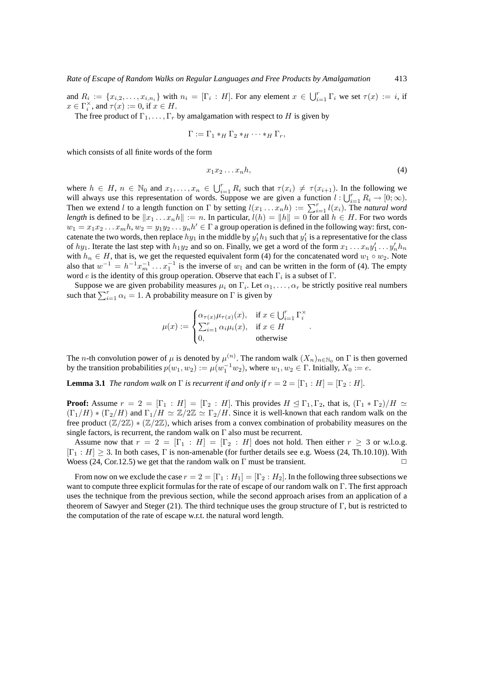and  $R_i := \{x_{i,2}, \ldots, x_{i,n_i}\}$  with  $n_i = [\Gamma_i : H]$ . For any element  $x \in \bigcup_{i=1}^r \Gamma_i$  we set  $\tau(x) := i$ , if  $x \in \Gamma_i^{\times}$ , and  $\tau(x) := 0$ , if  $x \in H$ .

The free product of  $\Gamma_1, \ldots, \Gamma_r$  by amalgamation with respect to H is given by

$$
\Gamma := \Gamma_1 *_H \Gamma_2 *_H \cdots *_H \Gamma_r,
$$

which consists of all finite words of the form

$$
x_1x_2\ldots x_nh,\t\t(4)
$$

.

where  $h \in H$ ,  $n \in \mathbb{N}_0$  and  $x_1, \ldots, x_n \in \bigcup_{i=1}^r R_i$  such that  $\tau(x_i) \neq \tau(x_{i+1})$ . In the following we will always use this representation of words. Suppose we are given a function  $l: \bigcup_{i=1}^{r} R_i \to [0, \infty)$ . Then we extend l to a length function on  $\Gamma$  by setting  $l(x_1 \ldots x_n h) := \sum_{i=1}^r l(x_i)$ . The *natural word length* is defined to be  $||x_1 ... x_nh|| := n$ . In particular,  $l(h) = ||h|| = 0$  for all  $h \in H$ . For two words  $w_1 = x_1 x_2 \dots x_m h$ ,  $w_2 = y_1 y_2 \dots y_n h' \in \Gamma$  a group operation is defined in the following way: first, concatenate the two words, then replace  $hy_1$  in the middle by  $y_1'h_1$  such that  $y_1'$  is a representative for the class of  $hy_1$ . Iterate the last step with  $h_1y_2$  and so on. Finally, we get a word of the form  $x_1 \ldots x_n y'_1 \ldots y'_n h_n$ with  $h_n \in H$ , that is, we get the requested equivalent form (4) for the concatenated word  $w_1 \circ w_2$ . Note also that  $w^{-1} = h^{-1}x_m^{-1} \dots x_1^{-1}$  is the inverse of  $w_1$  and can be written in the form of (4). The empty word *e* is the identity of this group operation. Observe that each  $\Gamma_i$  is a subset of  $\Gamma$ .

Suppose we are given probability measures  $\mu_i$  on  $\Gamma_i$ . Let  $\alpha_1, \dots, \alpha_r$  be strictly positive real numbers such that  $\sum_{i=1}^{r} \alpha_i = 1$ . A probability measure on  $\Gamma$  is given by

$$
\mu(x) := \begin{cases} \alpha_{\tau(x)}\mu_{\tau(x)}(x), & \text{if } x \in \bigcup_{i=1}^r \Gamma_i^\times \\ \sum_{i=1}^r \alpha_i \mu_i(x), & \text{if } x \in H \\ 0, & \text{otherwise} \end{cases}
$$

The *n*-th convolution power of  $\mu$  is denoted by  $\mu^{(n)}$ . The random walk  $(X_n)_{n \in \mathbb{N}_0}$  on  $\Gamma$  is then governed by the transition probabilities  $p(w_1, w_2) := \mu(w_1^{-1} w_2)$ , where  $w_1, w_2 \in \Gamma$ . Initially,  $X_0 := e$ .

**Lemma 3.1** *The random walk on*  $\Gamma$  *is recurrent if and only if*  $r = 2 = [\Gamma_1 : H] = [\Gamma_2 : H]$ *.* 

**Proof:** Assume  $r = 2 = [\Gamma_1 : H] = [\Gamma_2 : H]$ . This provides  $H \subseteq \Gamma_1, \Gamma_2$ , that is,  $(\Gamma_1 * \Gamma_2)/H \simeq$  $(\Gamma_1/H) * (\Gamma_2/H)$  and  $\Gamma_1/H \simeq \mathbb{Z}/2\mathbb{Z} \simeq \Gamma_2/H$ . Since it is well-known that each random walk on the free product  $(\mathbb{Z}/2\mathbb{Z})$  \*  $(\mathbb{Z}/2\mathbb{Z})$ , which arises from a convex combination of probability measures on the single factors, is recurrent, the random walk on Γ also must be recurrent.

Assume now that  $r = 2 = [\Gamma_1 : H] = [\Gamma_2 : H]$  does not hold. Then either  $r \geq 3$  or w.l.o.g.  $[\Gamma_1 : H] \geq 3$ . In both cases,  $\Gamma$  is non-amenable (for further details see e.g. Woess (24, Th.10.10)). With Woess (24, Cor.12.5) we get that the random walk on  $\Gamma$  must be transient Woess (24, Cor.12.5) we get that the random walk on  $\Gamma$  must be transient.

From now on we exclude the case  $r = 2 = [\Gamma_1 : H_1] = [\Gamma_2 : H_2]$ . In the following three subsections we want to compute three explicit formulas for the rate of escape of our random walk on Γ. The first approach uses the technique from the previous section, while the second approach arises from an application of a theorem of Sawyer and Steger (21). The third technique uses the group structure of Γ, but is restricted to the computation of the rate of escape w.r.t. the natural word length.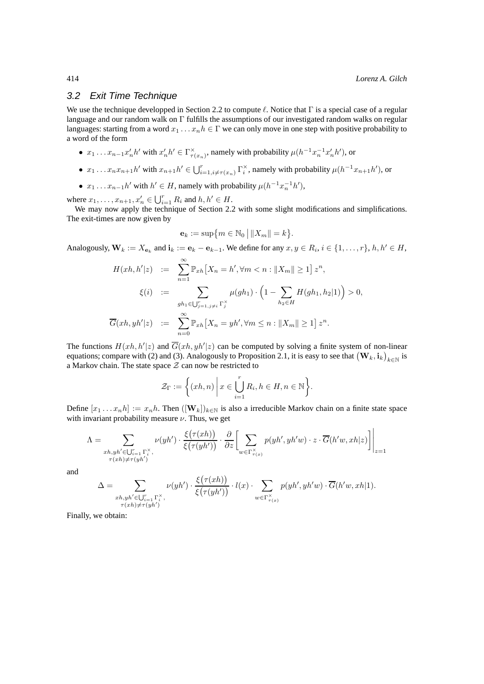#### 3.2 Exit Time Technique

We use the technique developped in Section 2.2 to compute  $\ell$ . Notice that Γ is a special case of a regular language and our random walk on Γ fulfills the assumptions of our investigated random walks on regular languages: starting from a word  $x_1 \nldots x_n h \in \Gamma$  we can only move in one step with positive probability to a word of the form

- $x_1 \ldots x_{n-1} x_n' h'$  with  $x_n' h' \in \Gamma_{\tau(x_n)}^\times$ , namely with probability  $\mu(h^{-1} x_n^{-1} x_n' h')$ , or
- $x_1 \ldots x_n x_{n+1} h'$  with  $x_{n+1} h' \in \bigcup_{i=1, i \neq \tau(x_n)}^r \Gamma_i^{\times}$ , namely with probability  $\mu(h^{-1} x_{n+1} h')$ , or
- $x_1 \ldots x_{n-1} h'$  with  $h' \in H$ , namely with probability  $\mu(h^{-1} x_n^{-1} h'),$

where  $x_1, ..., x_{n+1}, x'_n \in \bigcup_{i=1}^r R_i$  and  $h, h' \in H$ .

We may now apply the technique of Section 2.2 with some slight modifications and simplifications. The exit-times are now given by

$$
\mathbf{e}_k := \sup\big\{m \in \mathbb{N}_0 \, \big| \, \|X_m\| = k\big\}.
$$

Analogously,  $\mathbf{W}_k := X_{\mathbf{e}_k}$  and  $\mathbf{i}_k := \mathbf{e}_k - \mathbf{e}_{k-1}$ . We define for any  $x, y \in R_i$ ,  $i \in \{1, ..., r\}$ ,  $h, h' \in H$ ,

$$
H(xh, h'|z) := \sum_{n=1}^{\infty} \mathbb{P}_{xh}[X_n = h', \forall m < n : \|X_m\| \ge 1] \ z^n,
$$
\n
$$
\xi(i) := \sum_{gh_1 \in \bigcup_{j=1, j \ne i}^r \Gamma_j^{\times}} \mu(gh_1) \cdot \left(1 - \sum_{h_2 \in H} H(gh_1, h_2|1)\right) > 0,
$$
\n
$$
\overline{G}(xh, yh'|z) := \sum_{n=0}^{\infty} \mathbb{P}_{xh}[X_n = yh', \forall m \le n : \|X_m\| \ge 1] \ z^n.
$$

The functions  $H(xh, h'|z)$  and  $\overline{G}(xh, yh'|z)$  can be computed by solving a finite system of non-linear equations; compare with (2) and (3). Analogously to Proposition 2.1, it is easy to see that  $(\mathbf{W}_k, \mathbf{i}_k)_{k\in\mathbb{N}}$  is a Markov chain. The state space  $\mathcal Z$  can now be restricted to

$$
\mathcal{Z}_{\Gamma} := \left\{ (xh, n) \middle| x \in \bigcup_{i=1}^{r} R_i, h \in H, n \in \mathbb{N} \right\}.
$$

Define  $[x_1 \dots x_n h] := x_n h$ . Then  $([\mathbf{W}_k])_{k \in \mathbb{N}}$  is also a irreducible Markov chain on a finite state space with invariant probability measure  $\nu$ . Thus, we get

$$
\Lambda = \sum_{\substack{xh, yh' \in \bigcup_{i=1}^r \Gamma_i^\times, \\ \tau(xh) \neq \tau(yh')}} \nu(yh') \cdot \frac{\xi(\tau(xh))}{\xi(\tau(yh'))} \cdot \frac{\partial}{\partial z} \bigg[ \sum_{w \in \Gamma_{\tau(x)}^\times} p(yh', yh'w) \cdot z \cdot \overline{G}(h'w, xh|z) \bigg] \bigg|_{z=1}
$$

and

$$
\Delta = \sum_{\substack{xh, yh' \in \bigcup_{i=1}^r \Gamma_i^\times, \\ \tau(xh) \neq \tau(yh')}} \nu(yh') \cdot \frac{\xi(\tau(xh))}{\xi(\tau(yh'))} \cdot l(x) \cdot \sum_{w \in \Gamma_{\tau(x)}^\times} p(yh', yh'w) \cdot \overline{G}(h'w, xh|1).
$$

Finally, we obtain: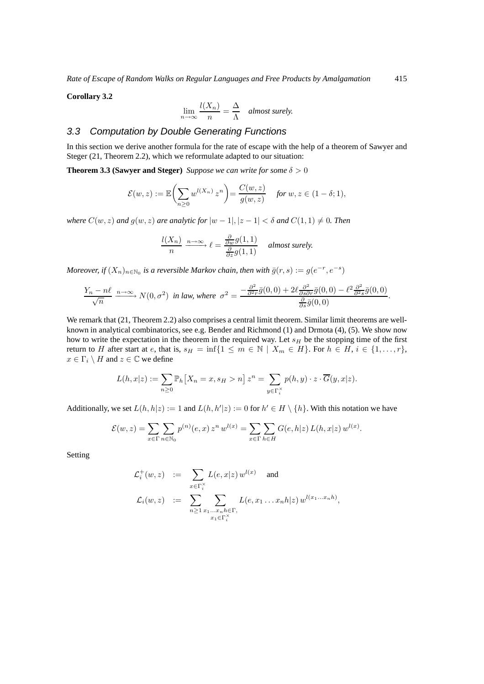*Rate of Escape of Random Walks on Regular Languages and Free Products by Amalgamation* 415

#### **Corollary 3.2**

$$
\lim_{n \to \infty} \frac{l(X_n)}{n} = \frac{\Delta}{\Lambda}
$$
 almost surely.

## 3.3 Computation by Double Generating Functions

In this section we derive another formula for the rate of escape with the help of a theorem of Sawyer and Steger (21, Theorem 2.2), which we reformulate adapted to our situation:

**Theorem 3.3 (Sawyer and Steger)** *Suppose we can write for some*  $\delta > 0$ 

$$
\mathcal{E}(w,z) := \mathbb{E}\bigg(\sum_{n\geq 0} w^{l(X_n)} z^n\bigg) = \frac{C(w,z)}{g(w,z)} \quad \text{for } w, z \in (1-\delta;1),
$$

*where*  $C(w, z)$  *and*  $q(w, z)$  *are analytic for*  $|w - 1|, |z - 1| < \delta$  *and*  $C(1, 1) \neq 0$ *. Then* 

$$
\frac{l(X_n)}{n} \xrightarrow{n \to \infty} \ell = \frac{\frac{\partial}{\partial w} g(1, 1)}{\frac{\partial}{\partial z} g(1, 1)} \quad \text{almost surely.}
$$

*Moreover, if*  $(X_n)_{n \in \mathbb{N}_0}$  is a reversible Markov chain, then with  $\bar{g}(r, s) := g(e^{-r}, e^{-s})$ 

$$
\frac{Y_n - n\ell}{\sqrt{n}} \xrightarrow{n \to \infty} N(0, \sigma^2) \text{ in law, where } \sigma^2 = \frac{-\frac{\partial^2}{\partial^2 r} \bar{g}(0, 0) + 2\ell \frac{\partial^2}{\partial s \partial r} \bar{g}(0, 0) - \ell^2 \frac{\partial^2}{\partial^2 s} \bar{g}(0, 0)}{\frac{\partial}{\partial s} \bar{g}(0, 0)}.
$$

We remark that  $(21, Theorem 2.2)$  also comprises a central limit theorem. Similar limit theorems are wellknown in analytical combinatorics, see e.g. Bender and Richmond  $(1)$  and Drmota  $(4)$ ,  $(5)$ . We show now how to write the expectation in the theorem in the required way. Let  $s_H$  be the stopping time of the first return to H after start at e, that is,  $s_H = \inf\{1 \le m \in \mathbb{N} \mid X_m \in H\}$ . For  $h \in H$ ,  $i \in \{1, \ldots, r\}$ ,  $x \in \Gamma_i \setminus H$  and  $z \in \mathbb{C}$  we define

$$
L(h, x|z) := \sum_{n\geq 0} \mathbb{P}_h\big[X_n = x, s_H > n\big] z^n = \sum_{y \in \Gamma_i^\times} p(h, y) \cdot z \cdot \overline{G}(y, x|z).
$$

Additionally, we set  $L(h, h|z) := 1$  and  $L(h, h'|z) := 0$  for  $h' \in H \setminus \{h\}$ . With this notation we have

$$
\mathcal{E}(w,z)=\sum_{x\in \Gamma}\sum_{n\in \mathbb{N}_0}p^{(n)}(e,x)\,z^n\,w^{l(x)}=\sum_{x\in \Gamma}\sum_{h\in H}G(e,h|z)\,L(h,x|z)\,w^{l(x)}.
$$

Setting

$$
\mathcal{L}_i^+(w, z) \quad := \quad \sum_{x \in \Gamma_i^{\times}} L(e, x|z) \, w^{l(x)} \quad \text{ and}
$$
\n
$$
\mathcal{L}_i(w, z) \quad := \quad \sum_{n \ge 1} \sum_{\substack{x_1 \dots x_n h \in \Gamma, \\ x_1 \in \Gamma_i^{\times}}} L(e, x_1 \dots x_n h|z) \, w^{l(x_1 \dots x_n h)},
$$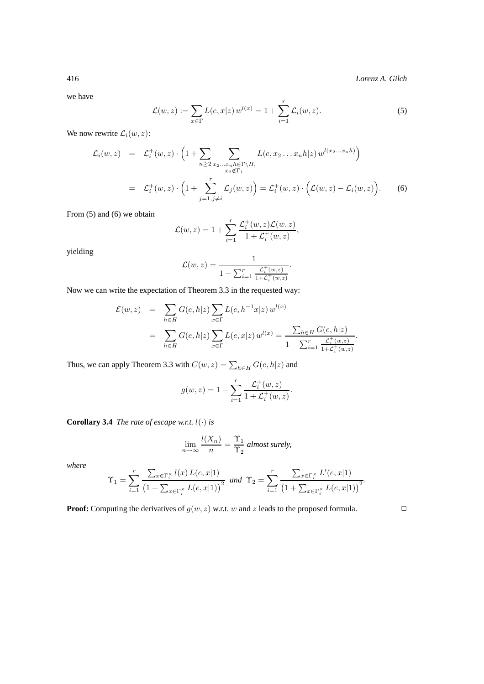416 *Lorenz A. Gilch*

we have

$$
\mathcal{L}(w, z) := \sum_{x \in \Gamma} L(e, x | z) w^{l(x)} = 1 + \sum_{i=1}^{r} \mathcal{L}_i(w, z).
$$
 (5)

We now rewrite  $\mathcal{L}_i(w, z)$ :

$$
\mathcal{L}_i(w, z) = \mathcal{L}_i^+(w, z) \cdot \left(1 + \sum_{n \ge 2} \sum_{\substack{x_2 \dots x_n h \in \Gamma \backslash H, \\ x_2 \notin \Gamma_1}} L(e, x_2 \dots x_n h | z) w^{l(x_2 \dots x_n h)}\right)
$$
\n
$$
= \mathcal{L}_i^+(w, z) \cdot \left(1 + \sum_{j=1, j \ne i}^r \mathcal{L}_j(w, z)\right) = \mathcal{L}_i^+(w, z) \cdot \left(\mathcal{L}(w, z) - \mathcal{L}_i(w, z)\right). \tag{6}
$$

From (5) and (6) we obtain

$$
\mathcal{L}(w, z) = 1 + \sum_{i=1}^r \frac{\mathcal{L}_i^+(w, z)\mathcal{L}(w, z)}{1 + \mathcal{L}_i^+(w, z)},
$$

yielding

$$
\mathcal{L}(w, z) = \frac{1}{1 - \sum_{i=1}^{r} \frac{\mathcal{L}_i^+(w, z)}{1 + \mathcal{L}_i^+(w, z)}}.
$$

Now we can write the expectation of Theorem 3.3 in the requested way:

$$
\mathcal{E}(w, z) = \sum_{h \in H} G(e, h|z) \sum_{x \in \Gamma} L(e, h^{-1}x|z) w^{l(x)} \n= \sum_{h \in H} G(e, h|z) \sum_{x \in \Gamma} L(e, x|z) w^{l(x)} = \frac{\sum_{h \in H} G(e, h|z)}{1 - \sum_{i=1}^r \frac{\mathcal{L}_i^+(w, z)}{1 + \mathcal{L}_i^+(w, z)}}.
$$

Thus, we can apply Theorem 3.3 with  $C(w, z) = \sum_{h \in H} G(e, h|z)$  and

$$
g(w, z) = 1 - \sum_{i=1}^{r} \frac{\mathcal{L}_i^+(w, z)}{1 + \mathcal{L}_i^+(w, z)}.
$$

**Corollary 3.4** *The rate of escape w.r.t.*  $l(\cdot)$  *is* 

$$
\lim_{n \to \infty} \frac{l(X_n)}{n} = \frac{\Upsilon_1}{\Upsilon_2}
$$
 almost surely,

*where*

$$
\Upsilon_1 = \sum_{i=1}^r \frac{\sum_{x \in \Gamma_i^{\times}} l(x) L(e, x | 1)}{\left(1 + \sum_{x \in \Gamma_i^{\times}} L(e, x | 1)\right)^2} \text{ and } \Upsilon_2 = \sum_{i=1}^r \frac{\sum_{x \in \Gamma_i^{\times}} L'(e, x | 1)}{\left(1 + \sum_{x \in \Gamma_i^{\times}} L(e, x | 1)\right)^2}.
$$

**Proof:** Computing the derivatives of  $g(w, z)$  w.r.t. w and z leads to the proposed formula.  $\square$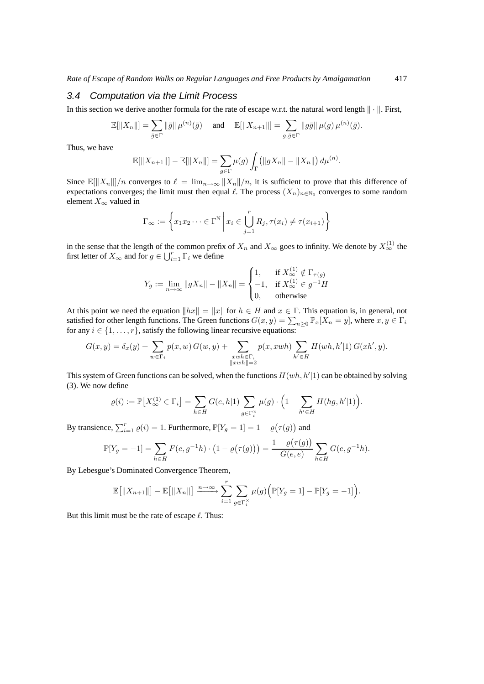#### 3.4 Computation via the Limit Process

In this section we derive another formula for the rate of escape w.r.t. the natural word length  $\|\cdot\|$ . First,

$$
\mathbb{E}[\|X_n\|] = \sum_{\bar{g} \in \Gamma} \|\bar{g}\| \mu^{(n)}(\bar{g}) \quad \text{and} \quad \mathbb{E}[\|X_{n+1}\|] = \sum_{g, \bar{g} \in \Gamma} \|g\bar{g}\| \mu(g) \mu^{(n)}(\bar{g}).
$$

Thus, we have

$$
\mathbb{E}[\|X_{n+1}\|] - \mathbb{E}[\|X_n\|] = \sum_{g \in \Gamma} \mu(g) \int_{\Gamma} (\|gX_n\| - \|X_n\|) d\mu^{(n)}.
$$

Since  $\mathbb{E}[\|X_n\|]/n$  converges to  $\ell = \lim_{n\to\infty} \|X_n\|/n$ , it is sufficient to prove that this difference of expectations converges; the limit must then equal  $\ell$ . The process  $(X_n)_{n\in\mathbb{N}_0}$  converges to some random element  $X_{\infty}$  valued in

$$
\Gamma_{\infty} := \left\{ x_1 x_2 \cdots \in \Gamma^{\mathbb{N}} \, \middle| \, x_i \in \bigcup_{j=1}^r R_j, \tau(x_i) \neq \tau(x_{i+1}) \right\}
$$

in the sense that the length of the common prefix of  $X_n$  and  $X_\infty$  goes to infinity. We denote by  $X_\infty^{(1)}$  the first letter of  $X_{\infty}$  and for  $g \in \bigcup_{i=1}^r \Gamma_i$  we define

$$
Y_g := \lim_{n \to \infty} \|gX_n\| - \|X_n\| = \begin{cases} 1, & \text{if } X_{\infty}^{(1)} \notin \Gamma_{\tau(g)} \\ -1, & \text{if } X_{\infty}^{(1)} \in g^{-1}H \\ 0, & \text{otherwise} \end{cases}
$$

At this point we need the equation  $||hx|| = ||x||$  for  $h \in H$  and  $x \in \Gamma$ . This equation is, in general, not satisfied for other length functions. The Green functions  $G(x, y) = \sum_{n \ge 0} \mathbb{P}_x[X_n = y]$ , where  $x, y \in \Gamma_i$ for any  $i \in \{1, \ldots, r\}$ , satisfy the following linear recursive equations:

$$
G(x,y) = \delta_x(y) + \sum_{w \in \Gamma_i} p(x,w) G(w,y) + \sum_{\substack{xwh \in \Gamma, \\ \|xwh\| = 2}} p(x,xwh) \sum_{h' \in H} H(wh, h'|1) G(xh',y).
$$

This system of Green functions can be solved, when the functions  $H(wh, h'|1)$  can be obtained by solving (3). We now define

$$
\varrho(i) := \mathbb{P}\big[X_{\infty}^{(1)} \in \Gamma_i\big] = \sum_{h \in H} G(e, h|1) \sum_{g \in \Gamma_i^{\times}} \mu(g) \cdot \left(1 - \sum_{h' \in H} H(hg, h'|1)\right).
$$

By transience,  $\sum_{i=1}^{r} \varrho(i) = 1$ . Furthermore,  $\mathbb{P}[Y_g = 1] = 1 - \varrho(\tau(g))$  and

$$
\mathbb{P}[Y_g = -1] = \sum_{h \in H} F(e, g^{-1}h) \cdot (1 - \varrho(\tau(g))) = \frac{1 - \varrho(\tau(g))}{G(e, e)} \sum_{h \in H} G(e, g^{-1}h).
$$

By Lebesgue's Dominated Convergence Theorem,

$$
\mathbb{E}\big[\|X_{n+1}\|\big] - \mathbb{E}\big[\|X_n\|\big] \xrightarrow{n \to \infty} \sum_{i=1}^r \sum_{g \in \Gamma_i^\times} \mu(g) \Big(\mathbb{P}[Y_g = 1] - \mathbb{P}[Y_g = -1]\Big).
$$

But this limit must be the rate of escape  $\ell$ . Thus: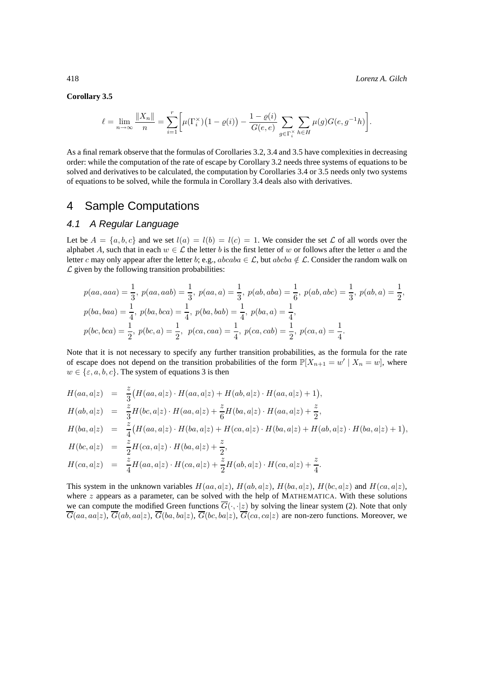#### **Corollary 3.5**

$$
\ell = \lim_{n \to \infty} \frac{\|X_n\|}{n} = \sum_{i=1}^r \bigg[ \mu(\Gamma_i^{\times})(1 - \varrho(i)) - \frac{1 - \varrho(i)}{G(e, e)} \sum_{g \in \Gamma_i^{\times}} \sum_{h \in H} \mu(g) G(e, g^{-1}h) \bigg].
$$

As a final remark observe that the formulas of Corollaries 3.2, 3.4 and 3.5 have complexities in decreasing order: while the computation of the rate of escape by Corollary 3.2 needs three systems of equations to be solved and derivatives to be calculated, the computation by Corollaries 3.4 or 3.5 needs only two systems of equations to be solved, while the formula in Corollary 3.4 deals also with derivatives.

# 4 Sample Computations

#### 4.1 A Regular Language

Let be  $A = \{a, b, c\}$  and we set  $l(a) = l(b) = l(c) = 1$ . We consider the set  $\mathcal L$  of all words over the alphabet A, such that in each  $w \in \mathcal{L}$  the letter b is the first letter of w or follows after the letter a and the letter c may only appear after the letter b; e.g.,  $abcaba \in \mathcal{L}$ , but  $abcba \notin \mathcal{L}$ . Consider the random walk on  $\mathcal L$  given by the following transition probabilities:

$$
p(aa,aaa) = \frac{1}{3}, p(aa, aab) = \frac{1}{3}, p(aa, a) = \frac{1}{3}, p(ab, aba) = \frac{1}{6}, p(ab, abc) = \frac{1}{3}, p(ab, a) = \frac{1}{2},
$$
  
\n
$$
p(ba, baa) = \frac{1}{4}, p(ba, bca) = \frac{1}{4}, p(ba, bab) = \frac{1}{4}, p(ba, a) = \frac{1}{4},
$$
  
\n
$$
p(bc, bca) = \frac{1}{2}, p(bc, a) = \frac{1}{2}, p(ca, caa) = \frac{1}{4}, p(ca, cab) = \frac{1}{2}, p(ca, a) = \frac{1}{4}.
$$

Note that it is not necessary to specify any further transition probabilities, as the formula for the rate of escape does not depend on the transition probabilities of the form  $\mathbb{P}[X_{n+1} = w' | X_n = w]$ , where  $w \in {\epsilon, a, b, c}$ . The system of equations 3 is then

$$
H(aa, a|z) = \frac{z}{3}(H(aa, a|z) \cdot H(aa, a|z) + H(ab, a|z) \cdot H(aa, a|z) + 1),
$$
  
\n
$$
H(ab, a|z) = \frac{z}{3}H(bc, a|z) \cdot H(aa, a|z) + \frac{z}{6}H(ba, a|z) \cdot H(aa, a|z) + \frac{z}{2},
$$
  
\n
$$
H(ba, a|z) = \frac{z}{4}(H(aa, a|z) \cdot H(ba, a|z) + H(ca, a|z) \cdot H(ba, a|z) + H(ab, a|z) \cdot H(ba, a|z) + 1),
$$
  
\n
$$
H(bc, a|z) = \frac{z}{2}H(ca, a|z) \cdot H(ba, a|z) + \frac{z}{2},
$$
  
\n
$$
H(ca, a|z) = \frac{z}{4}H(aa, a|z) \cdot H(ca, a|z) + \frac{z}{2}H(ab, a|z) \cdot H(ca, a|z) + \frac{z}{4}.
$$

This system in the unknown variables  $H(aa, a|z)$ ,  $H(ab, a|z)$ ,  $H(ba, a|z)$ ,  $H(bc, a|z)$  and  $H(ca, a|z)$ , where  $z$  appears as a parameter, can be solved with the help of MATHEMATICA. With these solutions we can compute the modified Green functions  $\overline{G}(\cdot, \cdot | z)$  by solving the linear system (2). Note that only  $\overline{G}(aa,aa|z)$ ,  $\overline{G}(ab,aa|z)$ ,  $\overline{G}(ba,ba|z)$ ,  $\overline{G}(bc,ba|z)$ ,  $\overline{G}(ca,ca|z)$  are non-zero functions. Moreover, we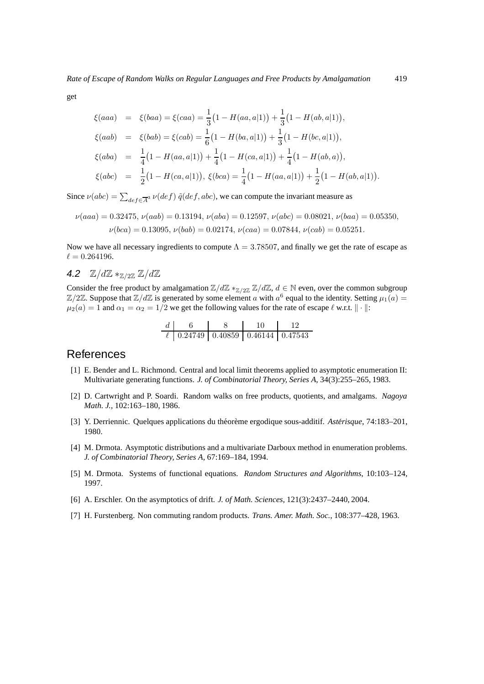get

$$
\xi(aaa) = \xi(baa) = \xi(caa) = \frac{1}{3}(1 - H(aa, a|1)) + \frac{1}{3}(1 - H(ab, a|1)),
$$
  
\n
$$
\xi(aab) = \xi(bab) = \xi(cab) = \frac{1}{6}(1 - H(ba, a|1)) + \frac{1}{3}(1 - H(bc, a|1)),
$$
  
\n
$$
\xi(aba) = \frac{1}{4}(1 - H(aa, a|1)) + \frac{1}{4}(1 - H(ca, a|1)) + \frac{1}{4}(1 - H(ab, a)),
$$
  
\n
$$
\xi(abc) = \frac{1}{2}(1 - H(ca, a|1)), \xi(bca) = \frac{1}{4}(1 - H(aa, a|1)) + \frac{1}{2}(1 - H(ab, a|1)).
$$

Since  $\nu(abc) = \sum_{def \in \overline{A}^3} \nu(def) \tilde{q}(def, abc)$ , we can compute the invariant measure as

$$
\nu(aaa) = 0.32475, \nu(aab) = 0.13194, \nu(aba) = 0.12597, \nu(abc) = 0.08021, \nu(baa) = 0.05350,
$$
  

$$
\nu(bca) = 0.13095, \nu(bab) = 0.02174, \nu(ca) = 0.07844, \nu(cab) = 0.05251.
$$

Now we have all necessary ingredients to compute  $\Lambda = 3.78507$ , and finally we get the rate of escape as  $\ell = 0.264196.$ 

4.2 
$$
\mathbb{Z}/d\mathbb{Z} *_{\mathbb{Z}/2\mathbb{Z}} \mathbb{Z}/d\mathbb{Z}
$$

Consider the free product by amalgamation  $\mathbb{Z}/d\mathbb{Z} *_{\mathbb{Z}/2\mathbb{Z}} \mathbb{Z}/d\mathbb{Z}$ ,  $d \in \mathbb{N}$  even, over the common subgroup  $\mathbb{Z}/2\mathbb{Z}$ . Suppose that  $\mathbb{Z}/d\mathbb{Z}$  is generated by some element a with  $a^6$  equal to the identity. Setting  $\mu_1(a) =$  $\mu_2(a) = 1$  and  $\alpha_1 = \alpha_2 = 1/2$  we get the following values for the rate of escape  $\ell$  w.r.t.  $\|\cdot\|$ :

d 6 8 10 12 ℓ 0.24749 0.40859 0.46144 0.47543

# References

- [1] E. Bender and L. Richmond. Central and local limit theorems applied to asymptotic enumeration II: Multivariate generating functions. *J. of Combinatorial Theory, Series A*, 34(3):255–265, 1983.
- [2] D. Cartwright and P. Soardi. Random walks on free products, quotients, and amalgams. *Nagoya Math. J.*, 102:163–180, 1986.
- [3] Y. Derriennic. Quelques applications du théorème ergodique sous-additif. *Astérisque*, 74:183–201, 1980.
- [4] M. Drmota. Asymptotic distributions and a multivariate Darboux method in enumeration problems. *J. of Combinatorial Theory, Series A*, 67:169–184, 1994.
- [5] M. Drmota. Systems of functional equations. *Random Structures and Algorithms*, 10:103–124, 1997.
- [6] A. Erschler. On the asymptotics of drift. *J. of Math. Sciences*, 121(3):2437–2440, 2004.
- [7] H. Furstenberg. Non commuting random products. *Trans. Amer. Math. Soc.*, 108:377–428, 1963.